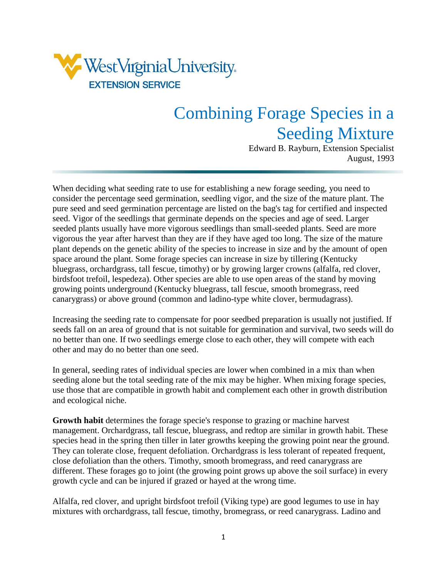

## Combining Forage Species in a Seeding Mixture

Edward B. Rayburn, Extension Specialist August, 1993

When deciding what seeding rate to use for establishing a new forage seeding, you need to consider the percentage seed germination, seedling vigor, and the size of the mature plant. The pure seed and seed germination percentage are listed on the bag's tag for certified and inspected seed. Vigor of the seedlings that germinate depends on the species and age of seed. Larger seeded plants usually have more vigorous seedlings than small-seeded plants. Seed are more vigorous the year after harvest than they are if they have aged too long. The size of the mature plant depends on the genetic ability of the species to increase in size and by the amount of open space around the plant. Some forage species can increase in size by tillering (Kentucky bluegrass, orchardgrass, tall fescue, timothy) or by growing larger crowns (alfalfa, red clover, birdsfoot trefoil, lespedeza). Other species are able to use open areas of the stand by moving growing points underground (Kentucky bluegrass, tall fescue, smooth bromegrass, reed canarygrass) or above ground (common and ladino-type white clover, bermudagrass).

Increasing the seeding rate to compensate for poor seedbed preparation is usually not justified. If seeds fall on an area of ground that is not suitable for germination and survival, two seeds will do no better than one. If two seedlings emerge close to each other, they will compete with each other and may do no better than one seed.

In general, seeding rates of individual species are lower when combined in a mix than when seeding alone but the total seeding rate of the mix may be higher. When mixing forage species, use those that are compatible in growth habit and complement each other in growth distribution and ecological niche.

**Growth habit** determines the forage specie's response to grazing or machine harvest management. Orchardgrass, tall fescue, bluegrass, and redtop are similar in growth habit. These species head in the spring then tiller in later growths keeping the growing point near the ground. They can tolerate close, frequent defoliation. Orchardgrass is less tolerant of repeated frequent, close defoliation than the others. Timothy, smooth bromegrass, and reed canarygrass are different. These forages go to joint (the growing point grows up above the soil surface) in every growth cycle and can be injured if grazed or hayed at the wrong time.

Alfalfa, red clover, and upright birdsfoot trefoil (Viking type) are good legumes to use in hay mixtures with orchardgrass, tall fescue, timothy, bromegrass, or reed canarygrass. Ladino and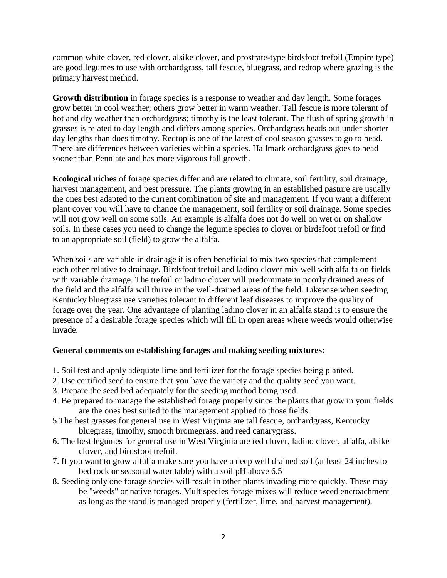common white clover, red clover, alsike clover, and prostrate-type birdsfoot trefoil (Empire type) are good legumes to use with orchardgrass, tall fescue, bluegrass, and redtop where grazing is the primary harvest method.

**Growth distribution** in forage species is a response to weather and day length. Some forages grow better in cool weather; others grow better in warm weather. Tall fescue is more tolerant of hot and dry weather than orchardgrass; timothy is the least tolerant. The flush of spring growth in grasses is related to day length and differs among species. Orchardgrass heads out under shorter day lengths than does timothy. Redtop is one of the latest of cool season grasses to go to head. There are differences between varieties within a species. Hallmark orchardgrass goes to head sooner than Pennlate and has more vigorous fall growth.

**Ecological niches** of forage species differ and are related to climate, soil fertility, soil drainage, harvest management, and pest pressure. The plants growing in an established pasture are usually the ones best adapted to the current combination of site and management. If you want a different plant cover you will have to change the management, soil fertility or soil drainage. Some species will not grow well on some soils. An example is alfalfa does not do well on wet or on shallow soils. In these cases you need to change the legume species to clover or birdsfoot trefoil or find to an appropriate soil (field) to grow the alfalfa.

When soils are variable in drainage it is often beneficial to mix two species that complement each other relative to drainage. Birdsfoot trefoil and ladino clover mix well with alfalfa on fields with variable drainage. The trefoil or ladino clover will predominate in poorly drained areas of the field and the alfalfa will thrive in the well-drained areas of the field. Likewise when seeding Kentucky bluegrass use varieties tolerant to different leaf diseases to improve the quality of forage over the year. One advantage of planting ladino clover in an alfalfa stand is to ensure the presence of a desirable forage species which will fill in open areas where weeds would otherwise invade.

## **General comments on establishing forages and making seeding mixtures:**

- 1. Soil test and apply adequate lime and fertilizer for the forage species being planted.
- 2. Use certified seed to ensure that you have the variety and the quality seed you want.
- 3. Prepare the seed bed adequately for the seeding method being used.
- 4. Be prepared to manage the established forage properly since the plants that grow in your fields are the ones best suited to the management applied to those fields.
- 5 The best grasses for general use in West Virginia are tall fescue, orchardgrass, Kentucky bluegrass, timothy, smooth bromegrass, and reed canarygrass.
- 6. The best legumes for general use in West Virginia are red clover, ladino clover, alfalfa, alsike clover, and birdsfoot trefoil.
- 7. If you want to grow alfalfa make sure you have a deep well drained soil (at least 24 inches to bed rock or seasonal water table) with a soil pH above 6.5
- 8. Seeding only one forage species will result in other plants invading more quickly. These may be "weeds" or native forages. Multispecies forage mixes will reduce weed encroachment as long as the stand is managed properly (fertilizer, lime, and harvest management).